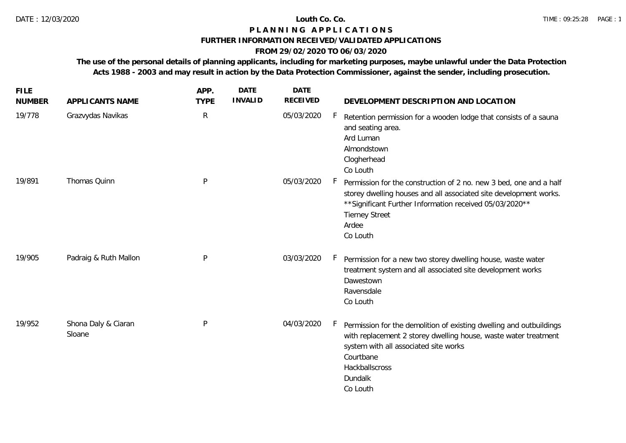## **P L A N N I N G A P P L I C A T I O N S**

### **FURTHER INFORMATION RECEIVED/VALIDATED APPLICATIONS**

# **FROM 29/02/2020 TO 06/03/2020**

**The use of the personal details of planning applicants, including for marketing purposes, maybe unlawful under the Data Protection Acts 1988 - 2003 and may result in action by the Data Protection Commissioner, against the sender, including prosecution.**

| <b>FILE</b><br><b>NUMBER</b> | APPLICANTS NAME               | APP.<br><b>TYPE</b> | <b>DATE</b><br><b>INVALID</b> | <b>DATE</b><br><b>RECEIVED</b> | DEVELOPMENT DESCRIPTION AND LOCATION                                                                                                                                                                                                               |
|------------------------------|-------------------------------|---------------------|-------------------------------|--------------------------------|----------------------------------------------------------------------------------------------------------------------------------------------------------------------------------------------------------------------------------------------------|
| 19/778                       | Grazvydas Navikas             | $\mathsf{R}$        |                               | 05/03/2020                     | Retention permission for a wooden lodge that consists of a sauna<br>and seating area.<br>Ard Luman<br>Almondstown<br>Clogherhead<br>Co Louth                                                                                                       |
| 19/891                       | Thomas Quinn                  | P                   |                               | 05/03/2020                     | Permission for the construction of 2 no. new 3 bed, one and a half<br>storey dwelling houses and all associated site development works.<br>** Significant Further Information received 05/03/2020 **<br><b>Tierney Street</b><br>Ardee<br>Co Louth |
| 19/905                       | Padraig & Ruth Mallon         | P                   |                               | 03/03/2020                     | Permission for a new two storey dwelling house, waste water<br>treatment system and all associated site development works<br>Dawestown<br>Ravensdale<br>Co Louth                                                                                   |
| 19/952                       | Shona Daly & Ciaran<br>Sloane | P                   |                               | 04/03/2020                     | Permission for the demolition of existing dwelling and outbuildings<br>with replacement 2 storey dwelling house, waste water treatment<br>system with all associated site works<br>Courtbane<br>Hackballscross<br>Dundalk<br>Co Louth              |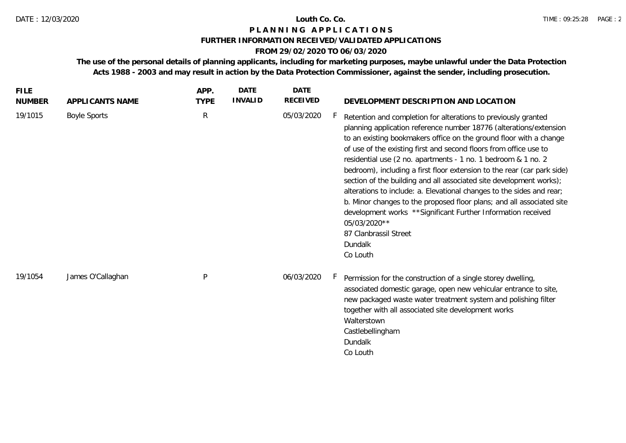## **P L A N N I N G A P P L I C A T I O N S**

### **FURTHER INFORMATION RECEIVED/VALIDATED APPLICATIONS**

# **FROM 29/02/2020 TO 06/03/2020**

**The use of the personal details of planning applicants, including for marketing purposes, maybe unlawful under the Data Protection Acts 1988 - 2003 and may result in action by the Data Protection Commissioner, against the sender, including prosecution.**

| <b>FILE</b><br><b>NUMBER</b> | APPLICANTS NAME     | APP.<br><b>TYPE</b> | <b>DATE</b><br><b>INVALID</b> | <b>DATE</b><br><b>RECEIVED</b> | DEVELOPMENT DESCRIPTION AND LOCATION                                                                                                                                                                                                                                                                                                                                                                                                                                                                                                                                                                                                                                                                                                                                                  |
|------------------------------|---------------------|---------------------|-------------------------------|--------------------------------|---------------------------------------------------------------------------------------------------------------------------------------------------------------------------------------------------------------------------------------------------------------------------------------------------------------------------------------------------------------------------------------------------------------------------------------------------------------------------------------------------------------------------------------------------------------------------------------------------------------------------------------------------------------------------------------------------------------------------------------------------------------------------------------|
| 19/1015                      | <b>Boyle Sports</b> | ${\sf R}$           |                               | 05/03/2020                     | Retention and completion for alterations to previously granted<br>planning application reference number 18776 (alterations/extension<br>to an existing bookmakers office on the ground floor with a change<br>of use of the existing first and second floors from office use to<br>residential use (2 no. apartments - 1 no. 1 bedroom & 1 no. 2<br>bedroom), including a first floor extension to the rear (car park side)<br>section of the building and all associated site development works);<br>alterations to include: a. Elevational changes to the sides and rear;<br>b. Minor changes to the proposed floor plans; and all associated site<br>development works ** Significant Further Information received<br>05/03/2020**<br>87 Clanbrassil Street<br>Dundalk<br>Co Louth |
| 19/1054                      | James O'Callaghan   | P                   |                               | 06/03/2020                     | Permission for the construction of a single storey dwelling,<br>h.<br>associated domestic garage, open new vehicular entrance to site,<br>new packaged waste water treatment system and polishing filter<br>together with all associated site development works<br>Walterstown<br>Castlebellingham<br>Dundalk<br>Co Louth                                                                                                                                                                                                                                                                                                                                                                                                                                                             |